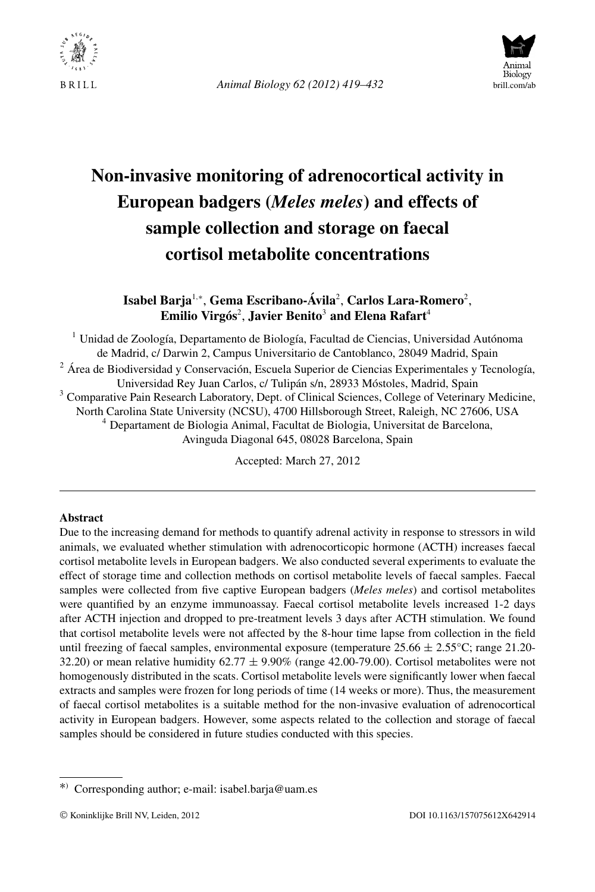

*Animal Biology 62 (2012) 419–432* brill.com/ab



# **Non-invasive monitoring of adrenocortical activity in European badgers (***Meles meles***) and effects of sample collection and storage on faecal cortisol metabolite concentrations**

# **Isabel Barja**<sup>1</sup>*,*<sup>∗</sup> , **Gema Escribano-Ávila**<sup>2</sup> , **Carlos Lara-Romero**<sup>2</sup> , **Emilio Virgós**<sup>2</sup> , **Javier Benito**<sup>3</sup> **and Elena Rafart**<sup>4</sup>

<sup>1</sup> Unidad de Zoología, Departamento de Biología, Facultad de Ciencias, Universidad Autónoma de Madrid, c/ Darwin 2, Campus Universitario de Cantoblanco, 28049 Madrid, Spain  $2\text{ Å}$ rea de Biodiversidad y Conservación, Escuela Superior de Ciencias Experimentales y Tecnología, Universidad Rey Juan Carlos, c/ Tulipán s/n, 28933 Móstoles, Madrid, Spain <sup>3</sup> Comparative Pain Research Laboratory, Dept. of Clinical Sciences, College of Veterinary Medicine, North Carolina State University (NCSU), 4700 Hillsborough Street, Raleigh, NC 27606, USA <sup>4</sup> Departament de Biologia Animal, Facultat de Biologia, Universitat de Barcelona, Avinguda Diagonal 645, 08028 Barcelona, Spain

Accepted: March 27, 2012

#### **Abstract**

Due to the increasing demand for methods to quantify adrenal activity in response to stressors in wild animals, we evaluated whether stimulation with adrenocorticopic hormone (ACTH) increases faecal cortisol metabolite levels in European badgers. We also conducted several experiments to evaluate the effect of storage time and collection methods on cortisol metabolite levels of faecal samples. Faecal samples were collected from five captive European badgers (*Meles meles*) and cortisol metabolites were quantified by an enzyme immunoassay. Faecal cortisol metabolite levels increased 1-2 days after ACTH injection and dropped to pre-treatment levels 3 days after ACTH stimulation. We found that cortisol metabolite levels were not affected by the 8-hour time lapse from collection in the field until freezing of faecal samples, environmental exposure (temperature  $25.66 \pm 2.55$ °C; range 21.20-32.20) or mean relative humidity  $62.77 \pm 9.90\%$  (range 42.00-79.00). Cortisol metabolites were not homogenously distributed in the scats. Cortisol metabolite levels were significantly lower when faecal extracts and samples were frozen for long periods of time (14 weeks or more). Thus, the measurement of faecal cortisol metabolites is a suitable method for the non-invasive evaluation of adrenocortical activity in European badgers. However, some aspects related to the collection and storage of faecal samples should be considered in future studies conducted with this species.

<sup>∗</sup>) Corresponding author; e-mail: isabel.barja@uam.es

<sup>©</sup> Koninklijke Brill NV, Leiden, 2012 DOI 10.1163/157075612X642914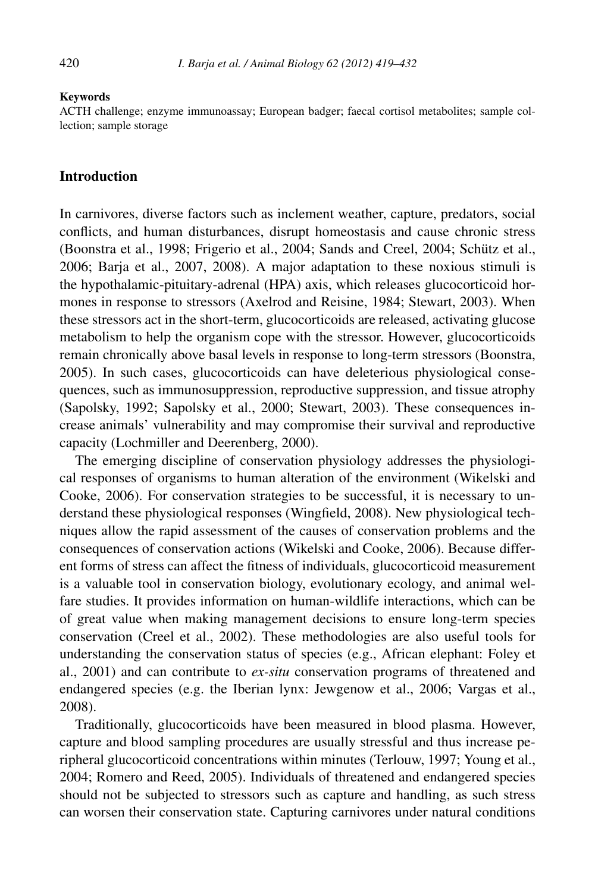#### **Keywords**

ACTH challenge; enzyme immunoassay; European badger; faecal cortisol metabolites; sample collection; sample storage

#### **Introduction**

In carnivores, diverse factors such as inclement weather, capture, predators, social conflicts, and human disturbances, disrupt homeostasis and cause chronic stress (Boonstra et al., 1998; Frigerio et al., 2004; Sands and Creel, 2004; Schütz et al., 2006; Barja et al., 2007, 2008). A major adaptation to these noxious stimuli is the hypothalamic-pituitary-adrenal (HPA) axis, which releases glucocorticoid hormones in response to stressors (Axelrod and Reisine, 1984; Stewart, 2003). When these stressors act in the short-term, glucocorticoids are released, activating glucose metabolism to help the organism cope with the stressor. However, glucocorticoids remain chronically above basal levels in response to long-term stressors (Boonstra, 2005). In such cases, glucocorticoids can have deleterious physiological consequences, such as immunosuppression, reproductive suppression, and tissue atrophy (Sapolsky, 1992; Sapolsky et al., 2000; Stewart, 2003). These consequences increase animals' vulnerability and may compromise their survival and reproductive capacity (Lochmiller and Deerenberg, 2000).

The emerging discipline of conservation physiology addresses the physiological responses of organisms to human alteration of the environment (Wikelski and Cooke, 2006). For conservation strategies to be successful, it is necessary to understand these physiological responses (Wingfield, 2008). New physiological techniques allow the rapid assessment of the causes of conservation problems and the consequences of conservation actions (Wikelski and Cooke, 2006). Because different forms of stress can affect the fitness of individuals, glucocorticoid measurement is a valuable tool in conservation biology, evolutionary ecology, and animal welfare studies. It provides information on human-wildlife interactions, which can be of great value when making management decisions to ensure long-term species conservation (Creel et al., 2002). These methodologies are also useful tools for understanding the conservation status of species (e.g., African elephant: Foley et al., 2001) and can contribute to *ex-situ* conservation programs of threatened and endangered species (e.g. the Iberian lynx: Jewgenow et al., 2006; Vargas et al., 2008).

Traditionally, glucocorticoids have been measured in blood plasma. However, capture and blood sampling procedures are usually stressful and thus increase peripheral glucocorticoid concentrations within minutes (Terlouw, 1997; Young et al., 2004; Romero and Reed, 2005). Individuals of threatened and endangered species should not be subjected to stressors such as capture and handling, as such stress can worsen their conservation state. Capturing carnivores under natural conditions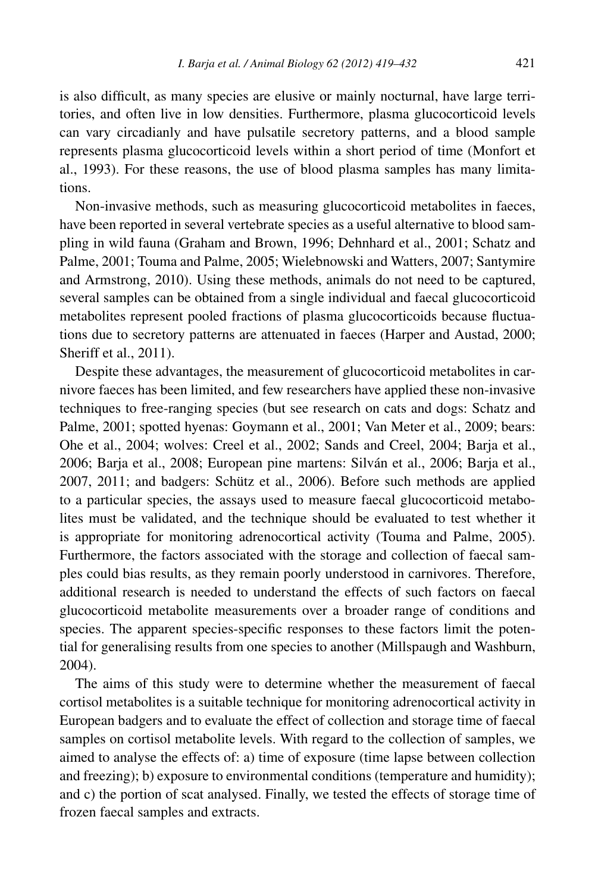is also difficult, as many species are elusive or mainly nocturnal, have large territories, and often live in low densities. Furthermore, plasma glucocorticoid levels can vary circadianly and have pulsatile secretory patterns, and a blood sample represents plasma glucocorticoid levels within a short period of time (Monfort et al., 1993). For these reasons, the use of blood plasma samples has many limitations.

Non-invasive methods, such as measuring glucocorticoid metabolites in faeces, have been reported in several vertebrate species as a useful alternative to blood sampling in wild fauna (Graham and Brown, 1996; Dehnhard et al., 2001; Schatz and Palme, 2001; Touma and Palme, 2005; Wielebnowski and Watters, 2007; Santymire and Armstrong, 2010). Using these methods, animals do not need to be captured, several samples can be obtained from a single individual and faecal glucocorticoid metabolites represent pooled fractions of plasma glucocorticoids because fluctuations due to secretory patterns are attenuated in faeces (Harper and Austad, 2000; Sheriff et al., 2011).

Despite these advantages, the measurement of glucocorticoid metabolites in carnivore faeces has been limited, and few researchers have applied these non-invasive techniques to free-ranging species (but see research on cats and dogs: Schatz and Palme, 2001; spotted hyenas: Goymann et al., 2001; Van Meter et al., 2009; bears: Ohe et al., 2004; wolves: Creel et al., 2002; Sands and Creel, 2004; Barja et al., 2006; Barja et al., 2008; European pine martens: Silván et al., 2006; Barja et al., 2007, 2011; and badgers: Schütz et al., 2006). Before such methods are applied to a particular species, the assays used to measure faecal glucocorticoid metabolites must be validated, and the technique should be evaluated to test whether it is appropriate for monitoring adrenocortical activity (Touma and Palme, 2005). Furthermore, the factors associated with the storage and collection of faecal samples could bias results, as they remain poorly understood in carnivores. Therefore, additional research is needed to understand the effects of such factors on faecal glucocorticoid metabolite measurements over a broader range of conditions and species. The apparent species-specific responses to these factors limit the potential for generalising results from one species to another (Millspaugh and Washburn, 2004).

The aims of this study were to determine whether the measurement of faecal cortisol metabolites is a suitable technique for monitoring adrenocortical activity in European badgers and to evaluate the effect of collection and storage time of faecal samples on cortisol metabolite levels. With regard to the collection of samples, we aimed to analyse the effects of: a) time of exposure (time lapse between collection and freezing); b) exposure to environmental conditions (temperature and humidity); and c) the portion of scat analysed. Finally, we tested the effects of storage time of frozen faecal samples and extracts.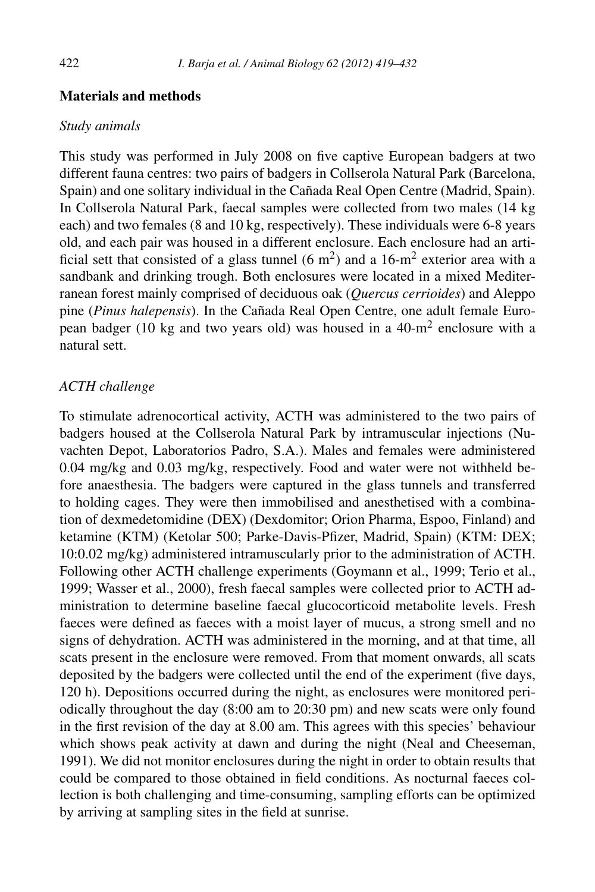## **Materials and methods**

#### *Study animals*

This study was performed in July 2008 on five captive European badgers at two different fauna centres: two pairs of badgers in Collserola Natural Park (Barcelona, Spain) and one solitary individual in the Cañada Real Open Centre (Madrid, Spain). In Collserola Natural Park, faecal samples were collected from two males (14 kg each) and two females (8 and 10 kg, respectively). These individuals were 6-8 years old, and each pair was housed in a different enclosure. Each enclosure had an artificial sett that consisted of a glass tunnel  $(6 \text{ m}^2)$  and a 16-m<sup>2</sup> exterior area with a sandbank and drinking trough. Both enclosures were located in a mixed Mediterranean forest mainly comprised of deciduous oak (*Quercus cerrioides*) and Aleppo pine (*Pinus halepensis*). In the Cañada Real Open Centre, one adult female European badger (10 kg and two years old) was housed in a 40-m<sup>2</sup> enclosure with a natural sett.

# *ACTH challenge*

To stimulate adrenocortical activity, ACTH was administered to the two pairs of badgers housed at the Collserola Natural Park by intramuscular injections (Nuvachten Depot, Laboratorios Padro, S.A.). Males and females were administered 0.04 mg/kg and 0.03 mg/kg, respectively. Food and water were not withheld before anaesthesia. The badgers were captured in the glass tunnels and transferred to holding cages. They were then immobilised and anesthetised with a combination of dexmedetomidine (DEX) (Dexdomitor; Orion Pharma, Espoo, Finland) and ketamine (KTM) (Ketolar 500; Parke-Davis-Pfizer, Madrid, Spain) (KTM: DEX; 10:0.02 mg/kg) administered intramuscularly prior to the administration of ACTH. Following other ACTH challenge experiments (Goymann et al., 1999; Terio et al., 1999; Wasser et al., 2000), fresh faecal samples were collected prior to ACTH administration to determine baseline faecal glucocorticoid metabolite levels. Fresh faeces were defined as faeces with a moist layer of mucus, a strong smell and no signs of dehydration. ACTH was administered in the morning, and at that time, all scats present in the enclosure were removed. From that moment onwards, all scats deposited by the badgers were collected until the end of the experiment (five days, 120 h). Depositions occurred during the night, as enclosures were monitored periodically throughout the day (8:00 am to 20:30 pm) and new scats were only found in the first revision of the day at 8.00 am. This agrees with this species' behaviour which shows peak activity at dawn and during the night (Neal and Cheeseman, 1991). We did not monitor enclosures during the night in order to obtain results that could be compared to those obtained in field conditions. As nocturnal faeces collection is both challenging and time-consuming, sampling efforts can be optimized by arriving at sampling sites in the field at sunrise.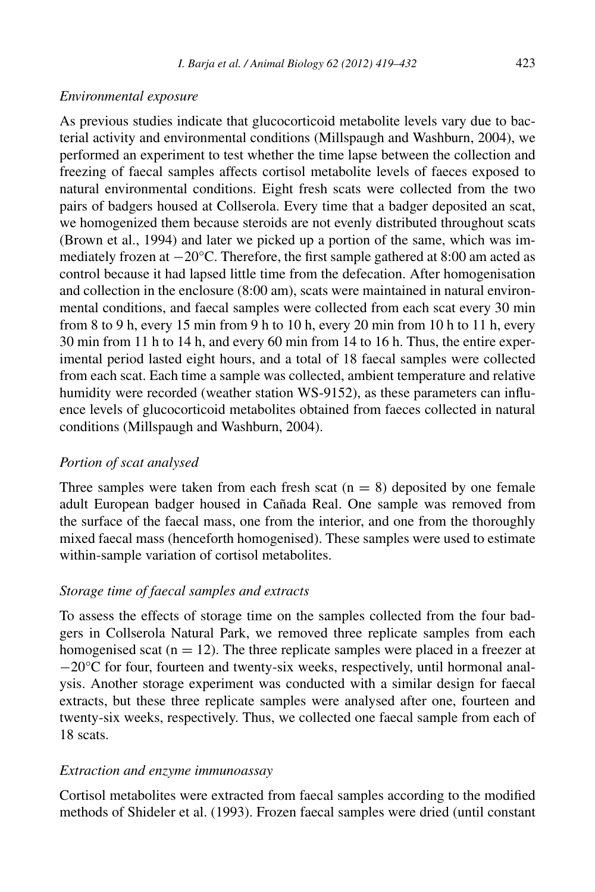#### *Environmental exposure*

As previous studies indicate that glucocorticoid metabolite levels vary due to bacterial activity and environmental conditions (Millspaugh and Washburn, 2004), we performed an experiment to test whether the time lapse between the collection and freezing of faecal samples affects cortisol metabolite levels of faeces exposed to natural environmental conditions. Eight fresh scats were collected from the two pairs of badgers housed at Collserola. Every time that a badger deposited an scat, we homogenized them because steroids are not evenly distributed throughout scats (Brown et al., 1994) and later we picked up a portion of the same, which was immediately frozen at −20°C. Therefore, the first sample gathered at 8:00 am acted as control because it had lapsed little time from the defecation. After homogenisation and collection in the enclosure (8:00 am), scats were maintained in natural environmental conditions, and faecal samples were collected from each scat every 30 min from 8 to 9 h, every 15 min from 9 h to 10 h, every 20 min from 10 h to 11 h, every 30 min from 11 h to 14 h, and every 60 min from 14 to 16 h. Thus, the entire experimental period lasted eight hours, and a total of 18 faecal samples were collected from each scat. Each time a sample was collected, ambient temperature and relative humidity were recorded (weather station WS-9152), as these parameters can influence levels of glucocorticoid metabolites obtained from faeces collected in natural conditions (Millspaugh and Washburn, 2004).

#### *Portion of scat analysed*

Three samples were taken from each fresh scat  $(n = 8)$  deposited by one female adult European badger housed in Cañada Real. One sample was removed from the surface of the faecal mass, one from the interior, and one from the thoroughly mixed faecal mass (henceforth homogenised). These samples were used to estimate within-sample variation of cortisol metabolites.

#### *Storage time of faecal samples and extracts*

To assess the effects of storage time on the samples collected from the four badgers in Collserola Natural Park, we removed three replicate samples from each homogenised scat  $(n = 12)$ . The three replicate samples were placed in a freezer at −20°C for four, fourteen and twenty-six weeks, respectively, until hormonal analysis. Another storage experiment was conducted with a similar design for faecal extracts, but these three replicate samples were analysed after one, fourteen and twenty-six weeks, respectively. Thus, we collected one faecal sample from each of 18 scats.

#### *Extraction and enzyme immunoassay*

Cortisol metabolites were extracted from faecal samples according to the modified methods of Shideler et al. (1993). Frozen faecal samples were dried (until constant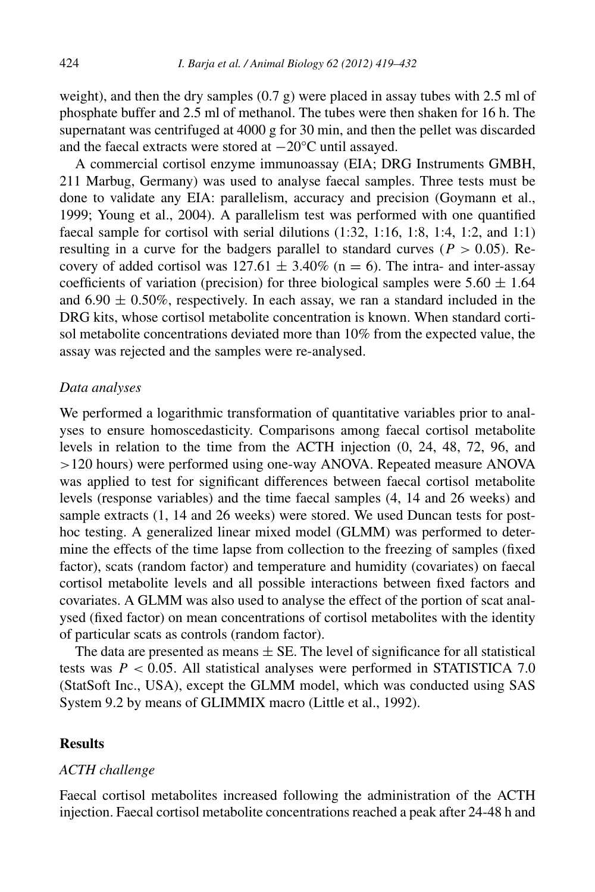weight), and then the dry samples  $(0.7 \text{ g})$  were placed in assay tubes with 2.5 ml of phosphate buffer and 2.5 ml of methanol. The tubes were then shaken for 16 h. The supernatant was centrifuged at 4000 g for 30 min, and then the pellet was discarded and the faecal extracts were stored at −20°C until assayed.

A commercial cortisol enzyme immunoassay (EIA; DRG Instruments GMBH, 211 Marbug, Germany) was used to analyse faecal samples. Three tests must be done to validate any EIA: parallelism, accuracy and precision (Goymann et al., 1999; Young et al., 2004). A parallelism test was performed with one quantified faecal sample for cortisol with serial dilutions (1:32, 1:16, 1:8, 1:4, 1:2, and 1:1) resulting in a curve for the badgers parallel to standard curves ( $P > 0.05$ ). Recovery of added cortisol was  $127.61 \pm 3.40\%$  (n = 6). The intra- and inter-assay coefficients of variation (precision) for three biological samples were  $5.60 \pm 1.64$ and  $6.90 \pm 0.50\%$ , respectively. In each assay, we ran a standard included in the DRG kits, whose cortisol metabolite concentration is known. When standard cortisol metabolite concentrations deviated more than 10% from the expected value, the assay was rejected and the samples were re-analysed.

## *Data analyses*

We performed a logarithmic transformation of quantitative variables prior to analyses to ensure homoscedasticity. Comparisons among faecal cortisol metabolite levels in relation to the time from the ACTH injection (0, 24, 48, 72, 96, and *>*120 hours) were performed using one-way ANOVA. Repeated measure ANOVA was applied to test for significant differences between faecal cortisol metabolite levels (response variables) and the time faecal samples (4, 14 and 26 weeks) and sample extracts (1, 14 and 26 weeks) were stored. We used Duncan tests for posthoc testing. A generalized linear mixed model (GLMM) was performed to determine the effects of the time lapse from collection to the freezing of samples (fixed factor), scats (random factor) and temperature and humidity (covariates) on faecal cortisol metabolite levels and all possible interactions between fixed factors and covariates. A GLMM was also used to analyse the effect of the portion of scat analysed (fixed factor) on mean concentrations of cortisol metabolites with the identity of particular scats as controls (random factor).

The data are presented as means  $\pm$  SE. The level of significance for all statistical tests was *P <* 0*.*05. All statistical analyses were performed in STATISTICA 7.0 (StatSoft Inc., USA), except the GLMM model, which was conducted using SAS System 9.2 by means of GLIMMIX macro (Little et al., 1992).

# **Results**

## *ACTH challenge*

Faecal cortisol metabolites increased following the administration of the ACTH injection. Faecal cortisol metabolite concentrations reached a peak after 24-48 h and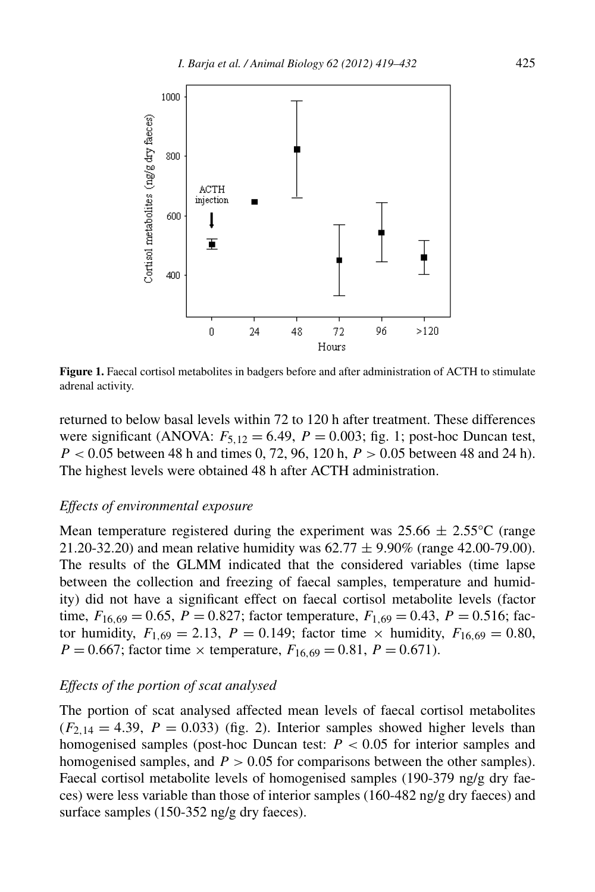

**Figure 1.** Faecal cortisol metabolites in badgers before and after administration of ACTH to stimulate adrenal activity.

returned to below basal levels within 72 to 120 h after treatment. These differences were significant (ANOVA:  $F_{5,12} = 6.49$ ,  $P = 0.003$ ; fig. 1; post-hoc Duncan test, *P <* 0*.*05 between 48 h and times 0, 72, 96, 120 h, *P >* 0*.*05 between 48 and 24 h). The highest levels were obtained 48 h after ACTH administration.

#### *Effects of environmental exposure*

Mean temperature registered during the experiment was  $25.66 \pm 2.55^{\circ}$ C (range 21.20-32.20) and mean relative humidity was  $62.77 \pm 9.90\%$  (range 42.00-79.00). The results of the GLMM indicated that the considered variables (time lapse between the collection and freezing of faecal samples, temperature and humidity) did not have a significant effect on faecal cortisol metabolite levels (factor time,  $F_{16,69} = 0.65$ ,  $P = 0.827$ ; factor temperature,  $F_{1,69} = 0.43$ ,  $P = 0.516$ ; factor humidity,  $F_{1,69} = 2.13$ ,  $P = 0.149$ ; factor time  $\times$  humidity,  $F_{16,69} = 0.80$ ,  $P = 0.667$ ; factor time  $\times$  temperature,  $F_{16,69} = 0.81$ ,  $P = 0.671$ ).

## *Effects of the portion of scat analysed*

The portion of scat analysed affected mean levels of faecal cortisol metabolites  $(F_{2,14} = 4.39, P = 0.033)$  (fig. 2). Interior samples showed higher levels than homogenised samples (post-hoc Duncan test: *P <* 0*.*05 for interior samples and homogenised samples, and *P >* 0*.*05 for comparisons between the other samples). Faecal cortisol metabolite levels of homogenised samples (190-379 ng/g dry faeces) were less variable than those of interior samples (160-482 ng/g dry faeces) and surface samples (150-352 ng/g dry faeces).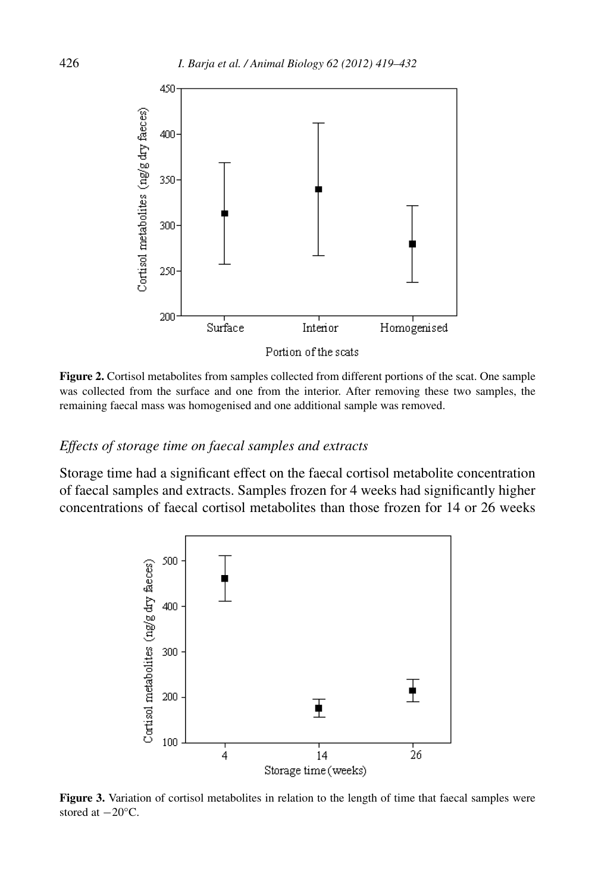

**Figure 2.** Cortisol metabolites from samples collected from different portions of the scat. One sample was collected from the surface and one from the interior. After removing these two samples, the remaining faecal mass was homogenised and one additional sample was removed.

#### *Effects of storage time on faecal samples and extracts*

Storage time had a significant effect on the faecal cortisol metabolite concentration of faecal samples and extracts. Samples frozen for 4 weeks had significantly higher concentrations of faecal cortisol metabolites than those frozen for 14 or 26 weeks



**Figure 3.** Variation of cortisol metabolites in relation to the length of time that faecal samples were stored at −20°C.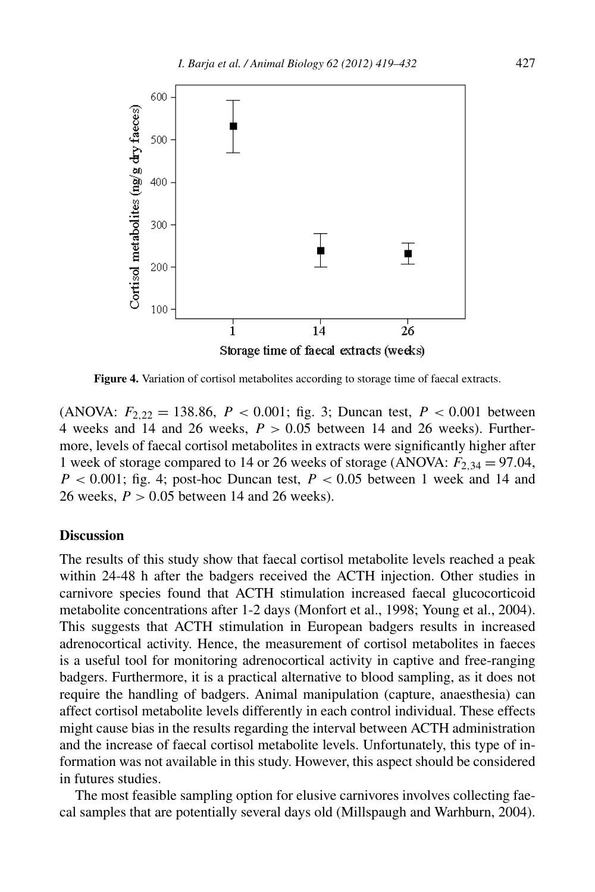

**Figure 4.** Variation of cortisol metabolites according to storage time of faecal extracts.

(ANOVA:  $F_{2,22} = 138.86$ ,  $P < 0.001$ ; fig. 3; Duncan test,  $P < 0.001$  between 4 weeks and 14 and 26 weeks,  $P > 0.05$  between 14 and 26 weeks). Furthermore, levels of faecal cortisol metabolites in extracts were significantly higher after 1 week of storage compared to 14 or 26 weeks of storage (ANOVA:  $F_{2,34} = 97.04$ ,  $P < 0.001$ ; fig. 4; post-hoc Duncan test,  $P < 0.05$  between 1 week and 14 and 26 weeks, *P >* 0*.*05 between 14 and 26 weeks).

#### **Discussion**

The results of this study show that faecal cortisol metabolite levels reached a peak within 24-48 h after the badgers received the ACTH injection. Other studies in carnivore species found that ACTH stimulation increased faecal glucocorticoid metabolite concentrations after 1-2 days (Monfort et al., 1998; Young et al., 2004). This suggests that ACTH stimulation in European badgers results in increased adrenocortical activity. Hence, the measurement of cortisol metabolites in faeces is a useful tool for monitoring adrenocortical activity in captive and free-ranging badgers. Furthermore, it is a practical alternative to blood sampling, as it does not require the handling of badgers. Animal manipulation (capture, anaesthesia) can affect cortisol metabolite levels differently in each control individual. These effects might cause bias in the results regarding the interval between ACTH administration and the increase of faecal cortisol metabolite levels. Unfortunately, this type of information was not available in this study. However, this aspect should be considered in futures studies.

The most feasible sampling option for elusive carnivores involves collecting faecal samples that are potentially several days old (Millspaugh and Warhburn, 2004).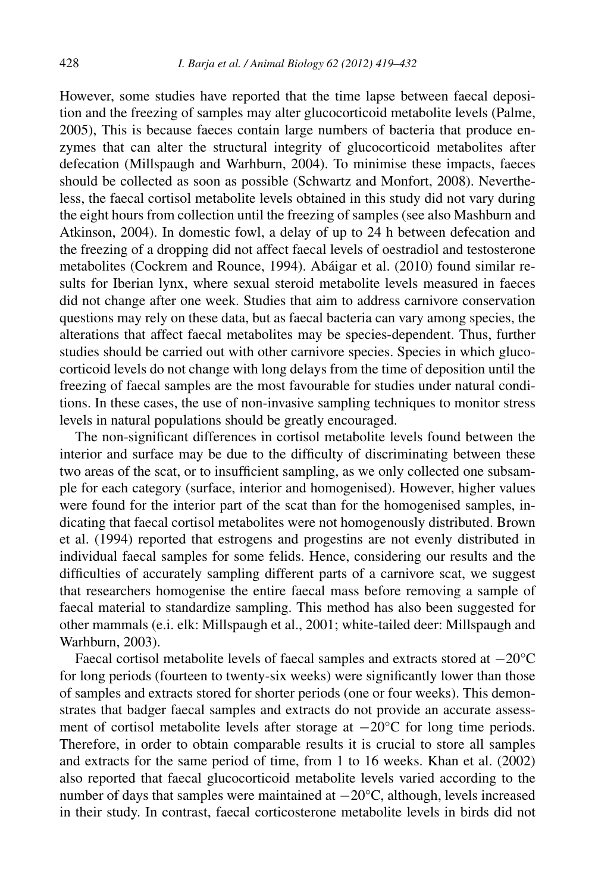However, some studies have reported that the time lapse between faecal deposition and the freezing of samples may alter glucocorticoid metabolite levels (Palme, 2005), This is because faeces contain large numbers of bacteria that produce enzymes that can alter the structural integrity of glucocorticoid metabolites after defecation (Millspaugh and Warhburn, 2004). To minimise these impacts, faeces should be collected as soon as possible (Schwartz and Monfort, 2008). Nevertheless, the faecal cortisol metabolite levels obtained in this study did not vary during the eight hours from collection until the freezing of samples (see also Mashburn and Atkinson, 2004). In domestic fowl, a delay of up to 24 h between defecation and the freezing of a dropping did not affect faecal levels of oestradiol and testosterone metabolites (Cockrem and Rounce, 1994). Abáigar et al. (2010) found similar results for Iberian lynx, where sexual steroid metabolite levels measured in faeces did not change after one week. Studies that aim to address carnivore conservation questions may rely on these data, but as faecal bacteria can vary among species, the alterations that affect faecal metabolites may be species-dependent. Thus, further studies should be carried out with other carnivore species. Species in which glucocorticoid levels do not change with long delays from the time of deposition until the freezing of faecal samples are the most favourable for studies under natural conditions. In these cases, the use of non-invasive sampling techniques to monitor stress levels in natural populations should be greatly encouraged.

The non-significant differences in cortisol metabolite levels found between the interior and surface may be due to the difficulty of discriminating between these two areas of the scat, or to insufficient sampling, as we only collected one subsample for each category (surface, interior and homogenised). However, higher values were found for the interior part of the scat than for the homogenised samples, indicating that faecal cortisol metabolites were not homogenously distributed. Brown et al. (1994) reported that estrogens and progestins are not evenly distributed in individual faecal samples for some felids. Hence, considering our results and the difficulties of accurately sampling different parts of a carnivore scat, we suggest that researchers homogenise the entire faecal mass before removing a sample of faecal material to standardize sampling. This method has also been suggested for other mammals (e.i. elk: Millspaugh et al., 2001; white-tailed deer: Millspaugh and Warhburn, 2003).

Faecal cortisol metabolite levels of faecal samples and extracts stored at −20°C for long periods (fourteen to twenty-six weeks) were significantly lower than those of samples and extracts stored for shorter periods (one or four weeks). This demonstrates that badger faecal samples and extracts do not provide an accurate assessment of cortisol metabolite levels after storage at −20°C for long time periods. Therefore, in order to obtain comparable results it is crucial to store all samples and extracts for the same period of time, from 1 to 16 weeks. Khan et al. (2002) also reported that faecal glucocorticoid metabolite levels varied according to the number of days that samples were maintained at −20°C, although, levels increased in their study. In contrast, faecal corticosterone metabolite levels in birds did not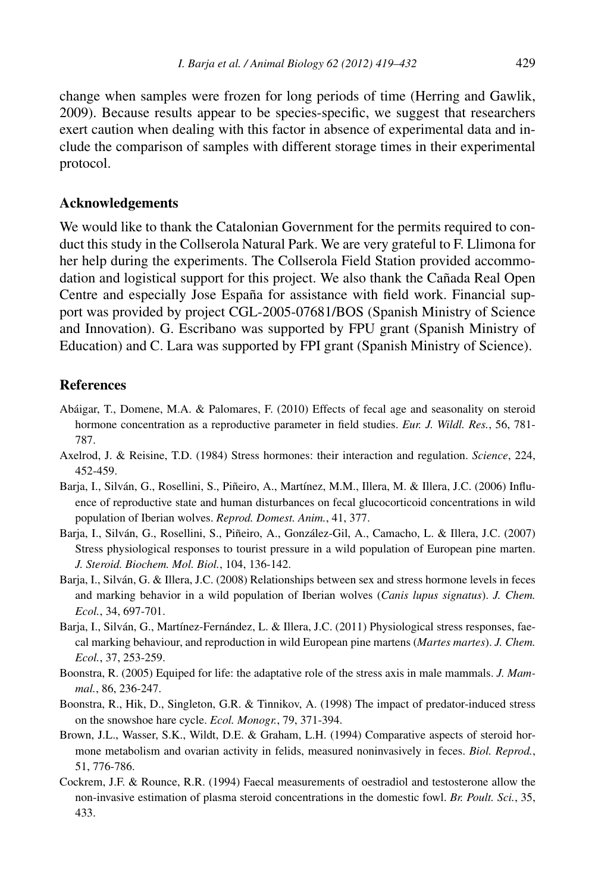change when samples were frozen for long periods of time (Herring and Gawlik, 2009). Because results appear to be species-specific, we suggest that researchers exert caution when dealing with this factor in absence of experimental data and include the comparison of samples with different storage times in their experimental protocol.

#### **Acknowledgements**

We would like to thank the Catalonian Government for the permits required to conduct this study in the Collserola Natural Park. We are very grateful to F. Llimona for her help during the experiments. The Collserola Field Station provided accommodation and logistical support for this project. We also thank the Cañada Real Open Centre and especially Jose España for assistance with field work. Financial support was provided by project CGL-2005-07681/BOS (Spanish Ministry of Science and Innovation). G. Escribano was supported by FPU grant (Spanish Ministry of Education) and C. Lara was supported by FPI grant (Spanish Ministry of Science).

## **References**

- Abáigar, T., Domene, M.A. & Palomares, F. (2010) Effects of fecal age and seasonality on steroid hormone concentration as a reproductive parameter in field studies. *Eur. J. Wildl. Res.*, 56, 781- 787.
- Axelrod, J. & Reisine, T.D. (1984) Stress hormones: their interaction and regulation. *Science*, 224, 452-459.
- Barja, I., Silván, G., Rosellini, S., Piñeiro, A., Martínez, M.M., Illera, M. & Illera, J.C. (2006) Influence of reproductive state and human disturbances on fecal glucocorticoid concentrations in wild population of Iberian wolves. *Reprod. Domest. Anim.*, 41, 377.
- Barja, I., Silván, G., Rosellini, S., Piñeiro, A., González-Gil, A., Camacho, L. & Illera, J.C. (2007) Stress physiological responses to tourist pressure in a wild population of European pine marten. *J. Steroid. Biochem. Mol. Biol.*, 104, 136-142.
- Barja, I., Silván, G. & Illera, J.C. (2008) Relationships between sex and stress hormone levels in feces and marking behavior in a wild population of Iberian wolves (*Canis lupus signatus*). *J. Chem. Ecol.*, 34, 697-701.
- Barja, I., Silván, G., Martínez-Fernández, L. & Illera, J.C. (2011) Physiological stress responses, faecal marking behaviour, and reproduction in wild European pine martens (*Martes martes*). *J. Chem. Ecol.*, 37, 253-259.
- Boonstra, R. (2005) Equiped for life: the adaptative role of the stress axis in male mammals. *J. Mammal.*, 86, 236-247.
- Boonstra, R., Hik, D., Singleton, G.R. & Tinnikov, A. (1998) The impact of predator-induced stress on the snowshoe hare cycle. *Ecol. Monogr.*, 79, 371-394.
- Brown, J.L., Wasser, S.K., Wildt, D.E. & Graham, L.H. (1994) Comparative aspects of steroid hormone metabolism and ovarian activity in felids, measured noninvasively in feces. *Biol. Reprod.*, 51, 776-786.
- Cockrem, J.F. & Rounce, R.R. (1994) Faecal measurements of oestradiol and testosterone allow the non-invasive estimation of plasma steroid concentrations in the domestic fowl. *Br. Poult. Sci.*, 35, 433.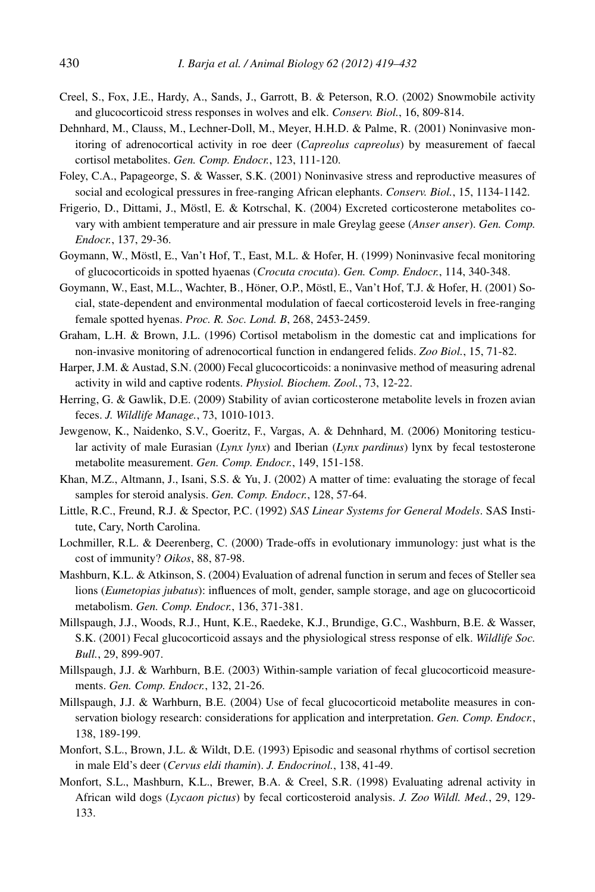- Creel, S., Fox, J.E., Hardy, A., Sands, J., Garrott, B. & Peterson, R.O. (2002) Snowmobile activity and glucocorticoid stress responses in wolves and elk. *Conserv. Biol.*, 16, 809-814.
- Dehnhard, M., Clauss, M., Lechner-Doll, M., Meyer, H.H.D. & Palme, R. (2001) Noninvasive monitoring of adrenocortical activity in roe deer (*Capreolus capreolus*) by measurement of faecal cortisol metabolites. *Gen. Comp. Endocr.*, 123, 111-120.
- Foley, C.A., Papageorge, S. & Wasser, S.K. (2001) Noninvasive stress and reproductive measures of social and ecological pressures in free-ranging African elephants. *Conserv. Biol.*, 15, 1134-1142.
- Frigerio, D., Dittami, J., Möstl, E. & Kotrschal, K. (2004) Excreted corticosterone metabolites covary with ambient temperature and air pressure in male Greylag geese (*Anser anser*). *Gen. Comp. Endocr.*, 137, 29-36.
- Goymann, W., Möstl, E., Van't Hof, T., East, M.L. & Hofer, H. (1999) Noninvasive fecal monitoring of glucocorticoids in spotted hyaenas (*Crocuta crocuta*). *Gen. Comp. Endocr.*, 114, 340-348.
- Goymann, W., East, M.L., Wachter, B., Höner, O.P., Möstl, E., Van't Hof, T.J. & Hofer, H. (2001) Social, state-dependent and environmental modulation of faecal corticosteroid levels in free-ranging female spotted hyenas. *Proc. R. Soc. Lond. B*, 268, 2453-2459.
- Graham, L.H. & Brown, J.L. (1996) Cortisol metabolism in the domestic cat and implications for non-invasive monitoring of adrenocortical function in endangered felids. *Zoo Biol.*, 15, 71-82.
- Harper, J.M. & Austad, S.N. (2000) Fecal glucocorticoids: a noninvasive method of measuring adrenal activity in wild and captive rodents. *Physiol. Biochem. Zool.*, 73, 12-22.
- Herring, G. & Gawlik, D.E. (2009) Stability of avian corticosterone metabolite levels in frozen avian feces. *J. Wildlife Manage.*, 73, 1010-1013.
- Jewgenow, K., Naidenko, S.V., Goeritz, F., Vargas, A. & Dehnhard, M. (2006) Monitoring testicular activity of male Eurasian (*Lynx lynx*) and Iberian (*Lynx pardinus*) lynx by fecal testosterone metabolite measurement. *Gen. Comp. Endocr.*, 149, 151-158.
- Khan, M.Z., Altmann, J., Isani, S.S. & Yu, J. (2002) A matter of time: evaluating the storage of fecal samples for steroid analysis. *Gen. Comp. Endocr.*, 128, 57-64.
- Little, R.C., Freund, R.J. & Spector, P.C. (1992) *SAS Linear Systems for General Models*. SAS Institute, Cary, North Carolina.
- Lochmiller, R.L. & Deerenberg, C. (2000) Trade-offs in evolutionary immunology: just what is the cost of immunity? *Oikos*, 88, 87-98.
- Mashburn, K.L. & Atkinson, S. (2004) Evaluation of adrenal function in serum and feces of Steller sea lions (*Eumetopias jubatus*): influences of molt, gender, sample storage, and age on glucocorticoid metabolism. *Gen. Comp. Endocr.*, 136, 371-381.
- Millspaugh, J.J., Woods, R.J., Hunt, K.E., Raedeke, K.J., Brundige, G.C., Washburn, B.E. & Wasser, S.K. (2001) Fecal glucocorticoid assays and the physiological stress response of elk. *Wildlife Soc. Bull.*, 29, 899-907.
- Millspaugh, J.J. & Warhburn, B.E. (2003) Within-sample variation of fecal glucocorticoid measurements. *Gen. Comp. Endocr.*, 132, 21-26.
- Millspaugh, J.J. & Warhburn, B.E. (2004) Use of fecal glucocorticoid metabolite measures in conservation biology research: considerations for application and interpretation. *Gen. Comp. Endocr.*, 138, 189-199.
- Monfort, S.L., Brown, J.L. & Wildt, D.E. (1993) Episodic and seasonal rhythms of cortisol secretion in male Eld's deer (*Cervus eldi thamin*). *J. Endocrinol.*, 138, 41-49.
- Monfort, S.L., Mashburn, K.L., Brewer, B.A. & Creel, S.R. (1998) Evaluating adrenal activity in African wild dogs (*Lycaon pictus*) by fecal corticosteroid analysis. *J. Zoo Wildl. Med.*, 29, 129- 133.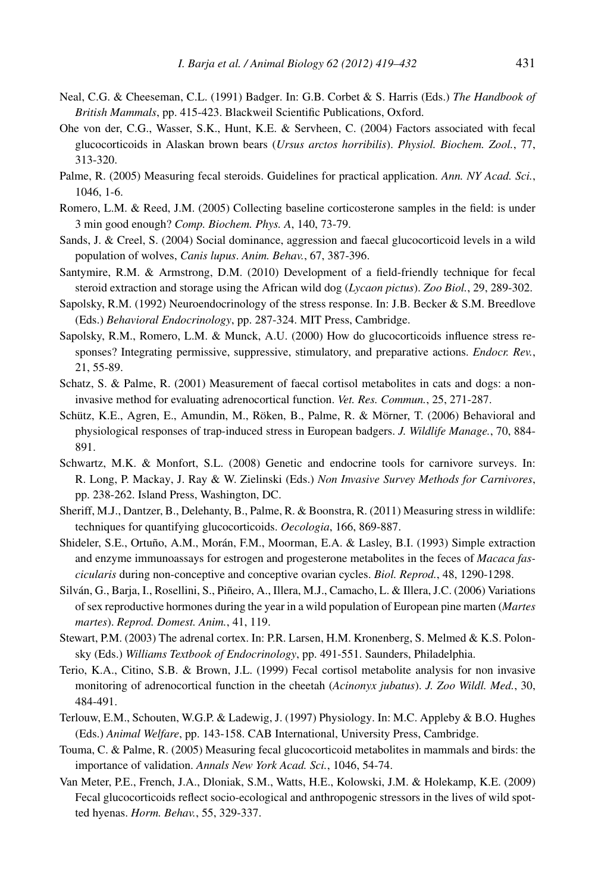- Neal, C.G. & Cheeseman, C.L. (1991) Badger. In: G.B. Corbet & S. Harris (Eds.) *The Handbook of British Mammals*, pp. 415-423. Blackweil Scientific Publications, Oxford.
- Ohe von der, C.G., Wasser, S.K., Hunt, K.E. & Servheen, C. (2004) Factors associated with fecal glucocorticoids in Alaskan brown bears (*Ursus arctos horribilis*). *Physiol. Biochem. Zool.*, 77, 313-320.
- Palme, R. (2005) Measuring fecal steroids. Guidelines for practical application. *Ann. NY Acad. Sci.*, 1046, 1-6.
- Romero, L.M. & Reed, J.M. (2005) Collecting baseline corticosterone samples in the field: is under 3 min good enough? *Comp. Biochem. Phys. A*, 140, 73-79.
- Sands, J. & Creel, S. (2004) Social dominance, aggression and faecal glucocorticoid levels in a wild population of wolves, *Canis lupus*. *Anim. Behav.*, 67, 387-396.
- Santymire, R.M. & Armstrong, D.M. (2010) Development of a field-friendly technique for fecal steroid extraction and storage using the African wild dog (*Lycaon pictus*). *Zoo Biol.*, 29, 289-302.
- Sapolsky, R.M. (1992) Neuroendocrinology of the stress response. In: J.B. Becker & S.M. Breedlove (Eds.) *Behavioral Endocrinology*, pp. 287-324. MIT Press, Cambridge.
- Sapolsky, R.M., Romero, L.M. & Munck, A.U. (2000) How do glucocorticoids influence stress responses? Integrating permissive, suppressive, stimulatory, and preparative actions. *Endocr. Rev.*, 21, 55-89.
- Schatz, S. & Palme, R. (2001) Measurement of faecal cortisol metabolites in cats and dogs: a noninvasive method for evaluating adrenocortical function. *Vet. Res. Commun.*, 25, 271-287.
- Schütz, K.E., Agren, E., Amundin, M., Röken, B., Palme, R. & Mörner, T. (2006) Behavioral and physiological responses of trap-induced stress in European badgers. *J. Wildlife Manage.*, 70, 884- 891.
- Schwartz, M.K. & Monfort, S.L. (2008) Genetic and endocrine tools for carnivore surveys. In: R. Long, P. Mackay, J. Ray & W. Zielinski (Eds.) *Non Invasive Survey Methods for Carnivores*, pp. 238-262. Island Press, Washington, DC.
- Sheriff, M.J., Dantzer, B., Delehanty, B., Palme, R. & Boonstra, R. (2011) Measuring stress in wildlife: techniques for quantifying glucocorticoids. *Oecologia*, 166, 869-887.
- Shideler, S.E., Ortuño, A.M., Morán, F.M., Moorman, E.A. & Lasley, B.I. (1993) Simple extraction and enzyme immunoassays for estrogen and progesterone metabolites in the feces of *Macaca fascicularis* during non-conceptive and conceptive ovarian cycles. *Biol. Reprod.*, 48, 1290-1298.
- Silván, G., Barja, I., Rosellini, S., Piñeiro, A., Illera, M.J., Camacho, L. & Illera, J.C. (2006) Variations of sex reproductive hormones during the year in a wild population of European pine marten (*Martes martes*). *Reprod. Domest. Anim.*, 41, 119.
- Stewart, P.M. (2003) The adrenal cortex. In: P.R. Larsen, H.M. Kronenberg, S. Melmed & K.S. Polonsky (Eds.) *Williams Textbook of Endocrinology*, pp. 491-551. Saunders, Philadelphia.
- Terio, K.A., Citino, S.B. & Brown, J.L. (1999) Fecal cortisol metabolite analysis for non invasive monitoring of adrenocortical function in the cheetah (*Acinonyx jubatus*). *J. Zoo Wildl. Med.*, 30, 484-491.
- Terlouw, E.M., Schouten, W.G.P. & Ladewig, J. (1997) Physiology. In: M.C. Appleby & B.O. Hughes (Eds.) *Animal Welfare*, pp. 143-158. CAB International, University Press, Cambridge.
- Touma, C. & Palme, R. (2005) Measuring fecal glucocorticoid metabolites in mammals and birds: the importance of validation. *Annals New York Acad. Sci.*, 1046, 54-74.
- Van Meter, P.E., French, J.A., Dloniak, S.M., Watts, H.E., Kolowski, J.M. & Holekamp, K.E. (2009) Fecal glucocorticoids reflect socio-ecological and anthropogenic stressors in the lives of wild spotted hyenas. *Horm. Behav.*, 55, 329-337.